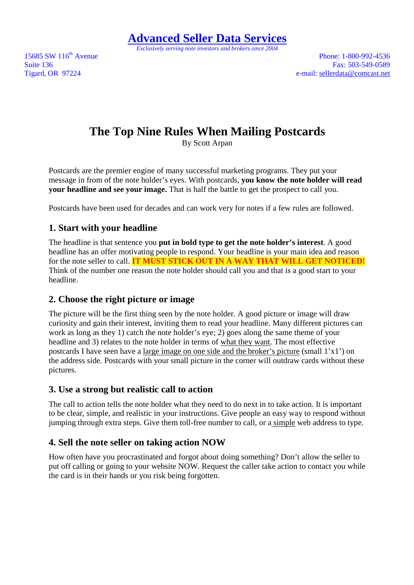*Exclusively serving note investors and brokers since 2004* 

15685 SW 116<sup>th</sup> Avenue Phone: 1-800-992-4536 Suite 136 Fax: 503-549-0589<br>Tigard, OR 97224 e-mail: sellerdata@comcast.net e-mail: sellerdata@comcast.net

# **The Top Nine Rules When Mailing Postcards**

By Scott Arpan

Postcards are the premier engine of many successful marketing programs. They put your message in from of the note holder's eyes. With postcards, **you know the note holder will read your headline and see your image.** That is half the battle to get the prospect to call you.

Postcards have been used for decades and can work very for notes if a few rules are followed.

# **1. Start with your headline**

The headline is that sentence you **put in bold type to get the note holder's interest**. A good headline has an offer motivating people to respond. Your headline is your main idea and reason for the note seller to call. **IT MUST STICK OUT IN A WAY THAT WILL GET NOTICED!** Think of the number one reason the note holder should call you and that is a good start to your headline.

## **2. Choose the right picture or image**

The picture will be the first thing seen by the note holder. A good picture or image will draw curiosity and gain their interest, inviting them to read your headline. Many different pictures can work as long as they 1) catch the note holder's eye; 2) goes along the same theme of your headline and 3) relates to the note holder in terms of what they want. The most effective postcards I have seen have a large image on one side and the broker's picture (small 1'x1') on the address side. Postcards with your small picture in the corner will outdraw cards without these pictures.

## **3. Use a strong but realistic call to action**

The call to action tells the note holder what they need to do next in to take action. It is important to be clear, simple, and realistic in your instructions. Give people an easy way to respond without jumping through extra steps. Give them toll-free number to call, or a simple web address to type.

# **4. Sell the note seller on taking action NOW**

How often have you procrastinated and forgot about doing something? Don't allow the seller to put off calling or going to your website NOW. Request the caller take action to contact you while the card is in their hands or you risk being forgotten.